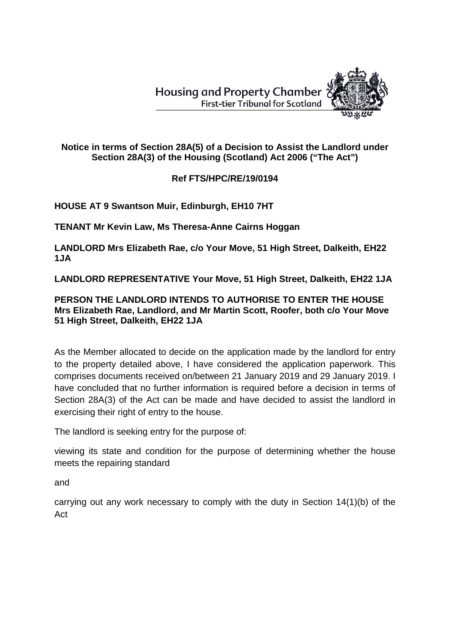**Housing and Property Chamber First-tier Tribunal for Scotland** 



## **Notice in terms of Section 28A(5) of a Decision to Assist the Landlord under Section 28A(3) of the Housing (Scotland) Act 2006 ("The Act")**

## **Ref FTS/HPC/RE/19/0194**

**HOUSE AT 9 Swantson Muir, Edinburgh, EH10 7HT**

**TENANT Mr Kevin Law, Ms Theresa-Anne Cairns Hoggan**

**LANDLORD Mrs Elizabeth Rae, c/o Your Move, 51 High Street, Dalkeith, EH22 1JA**

**LANDLORD REPRESENTATIVE Your Move, 51 High Street, Dalkeith, EH22 1JA**

## **PERSON THE LANDLORD INTENDS TO AUTHORISE TO ENTER THE HOUSE Mrs Elizabeth Rae, Landlord, and Mr Martin Scott, Roofer, both c/o Your Move 51 High Street, Dalkeith, EH22 1JA**

As the Member allocated to decide on the application made by the landlord for entry to the property detailed above, I have considered the application paperwork. This comprises documents received on/between 21 January 2019 and 29 January 2019. I have concluded that no further information is required before a decision in terms of Section 28A(3) of the Act can be made and have decided to assist the landlord in exercising their right of entry to the house.

The landlord is seeking entry for the purpose of:

viewing its state and condition for the purpose of determining whether the house meets the repairing standard

and

carrying out any work necessary to comply with the duty in Section 14(1)(b) of the Act